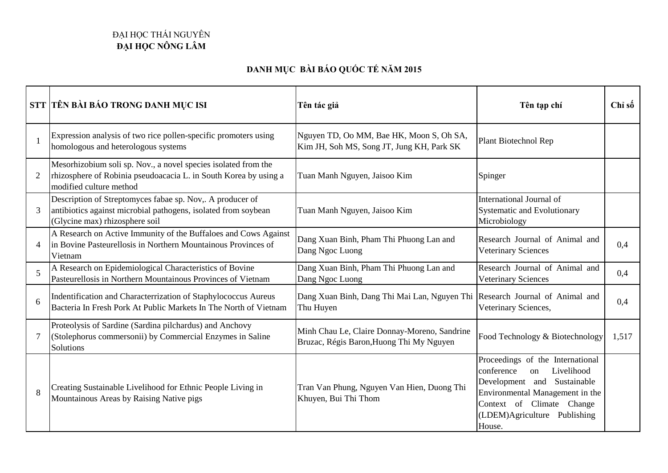## ĐẠI HỌC THÁI NGUYÊN **ĐẠI HỌC NÔNG LÂM**

## **DANH MỤC BÀI BÁO QUỐC TẾ NĂM 2015**

|                | STT TÊN BÀI BÁO TRONG DANH MỤC ISI                                                                                                                            | Tên tác giả                                                                              | Tên tạp chí                                                                                                                                                                                                 | Chỉ số |
|----------------|---------------------------------------------------------------------------------------------------------------------------------------------------------------|------------------------------------------------------------------------------------------|-------------------------------------------------------------------------------------------------------------------------------------------------------------------------------------------------------------|--------|
|                | Expression analysis of two rice pollen-specific promoters using<br>homologous and heterologous systems                                                        | Nguyen TD, Oo MM, Bae HK, Moon S, Oh SA,<br>Kim JH, Soh MS, Song JT, Jung KH, Park SK    | Plant Biotechnol Rep                                                                                                                                                                                        |        |
| $\overline{2}$ | Mesorhizobium soli sp. Nov., a novel species isolated from the<br>rhizosphere of Robinia pseudoacacia L. in South Korea by using a<br>modified culture method | Tuan Manh Nguyen, Jaisoo Kim                                                             | Spinger                                                                                                                                                                                                     |        |
|                | Description of Streptomyces fabae sp. Nov,. A producer of<br>antibiotics against microbial pathogens, isolated from soybean<br>(Glycine max) rhizosphere soil | Tuan Manh Nguyen, Jaisoo Kim                                                             | International Journal of<br>Systematic and Evolutionary<br>Microbiology                                                                                                                                     |        |
| $\overline{4}$ | A Research on Active Immunity of the Buffaloes and Cows Against<br>in Bovine Pasteurellosis in Northern Mountainous Provinces of<br>Vietnam                   | Dang Xuan Binh, Pham Thi Phuong Lan and<br>Dang Ngoc Luong                               | Research Journal of Animal and<br><b>Veterinary Sciences</b>                                                                                                                                                | 0,4    |
| 5              | A Research on Epidemiological Characteristics of Bovine<br>Pasteurellosis in Northern Mountainous Provinces of Vietnam                                        | Dang Xuan Binh, Pham Thi Phuong Lan and<br>Dang Ngoc Luong                               | Research Journal of Animal and<br><b>Veterinary Sciences</b>                                                                                                                                                | 0,4    |
| 6              | Indentification and Characterrization of Staphylococcus Aureus<br>Bacteria In Fresh Pork At Public Markets In The North of Vietnam                            | Dang Xuan Binh, Dang Thi Mai Lan, Nguyen Thi Research Journal of Animal and<br>Thu Huyen | Veterinary Sciences,                                                                                                                                                                                        | 0,4    |
|                | Proteolysis of Sardine (Sardina pilchardus) and Anchovy<br>(Stolephorus commersonii) by Commercial Enzymes in Saline<br>Solutions                             | Minh Chau Le, Claire Donnay-Moreno, Sandrine<br>Bruzac, Régis Baron, Huong Thi My Nguyen | Food Technology & Biotechnology                                                                                                                                                                             | 1,517  |
| 8              | Creating Sustainable Livelihood for Ethnic People Living in<br>Mountainous Areas by Raising Native pigs                                                       | Tran Van Phung, Nguyen Van Hien, Duong Thi<br>Khuyen, Bui Thi Thom                       | Proceedings of the International<br>Livelihood<br>conference<br>on<br>Development and Sustainable<br>Environmental Management in the<br>Context of Climate Change<br>(LDEM)Agriculture Publishing<br>House. |        |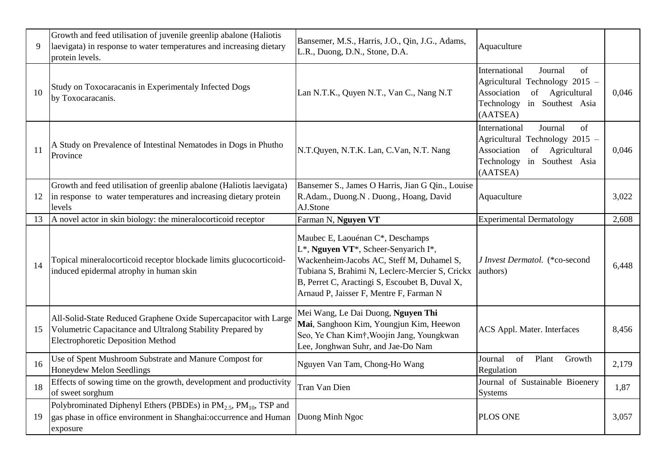| 9  | Growth and feed utilisation of juvenile greenlip abalone (Haliotis<br>laevigata) in response to water temperatures and increasing dietary<br>protein levels.               | Bansemer, M.S., Harris, J.O., Qin, J.G., Adams,<br>L.R., Duong, D.N., Stone, D.A.                                                                                                                                                                                     | Aquaculture                                                                                                                                               |       |
|----|----------------------------------------------------------------------------------------------------------------------------------------------------------------------------|-----------------------------------------------------------------------------------------------------------------------------------------------------------------------------------------------------------------------------------------------------------------------|-----------------------------------------------------------------------------------------------------------------------------------------------------------|-------|
| 10 | Study on Toxocaracanis in Experimentaly Infected Dogs<br>by Toxocaracanis.                                                                                                 | Lan N.T.K., Quyen N.T., Van C., Nang N.T                                                                                                                                                                                                                              | International<br>Journal<br>of<br>Agricultural Technology 2015 -<br>of Agricultural<br>Association<br>Technology in Southest Asia<br>(AATSEA)             | 0,046 |
| 11 | A Study on Prevalence of Intestinal Nematodes in Dogs in Phutho<br>Province                                                                                                | N.T.Quyen, N.T.K. Lan, C.Van, N.T. Nang                                                                                                                                                                                                                               | International<br>of<br>Journal<br>Agricultural Technology 2015 -<br>Agricultural<br>Association<br>$\sigma$<br>Technology<br>in Southest Asia<br>(AATSEA) | 0,046 |
| 12 | Growth and feed utilisation of greenlip abalone (Haliotis laevigata)<br>in response to water temperatures and increasing dietary protein<br>levels                         | Bansemer S., James O Harris, Jian G Qin., Louise<br>R.Adam., Duong.N. Duong., Hoang, David<br>AJ.Stone                                                                                                                                                                | Aquaculture                                                                                                                                               | 3,022 |
| 13 | A novel actor in skin biology: the mineralocorticoid receptor                                                                                                              | Farman N, Nguyen VT                                                                                                                                                                                                                                                   | <b>Experimental Dermatology</b>                                                                                                                           | 2,608 |
| 14 | Topical mineralocorticoid receptor blockade limits glucocorticoid-<br>induced epidermal atrophy in human skin                                                              | Maubec E, Laouénan C*, Deschamps<br>L*, Nguyen VT*, Scheer-Senyarich I*,<br>Wackenheim-Jacobs AC, Steff M, Duhamel S,<br>Tubiana S, Brahimi N, Leclerc-Mercier S, Crickx<br>B, Perret C, Aractingi S, Escoubet B, Duval X,<br>Arnaud P, Jaisser F, Mentre F, Farman N | J Invest Dermatol. (*co-second<br>authors)                                                                                                                | 6,448 |
| 15 | All-Solid-State Reduced Graphene Oxide Supercapacitor with Large<br>Volumetric Capacitance and Ultralong Stability Prepared by<br><b>Electrophoretic Deposition Method</b> | Mei Wang, Le Dai Duong, Nguyen Thi<br>Mai, Sanghoon Kim, Youngjun Kim, Heewon<br>Seo, Ye Chan Kim†, Woojin Jang, Youngkwan<br>Lee, Jonghwan Suhr, and Jae-Do Nam                                                                                                      | ACS Appl. Mater. Interfaces                                                                                                                               | 8,456 |
| 16 | Use of Spent Mushroom Substrate and Manure Compost for<br>Honeydew Melon Seedlings                                                                                         | Nguyen Van Tam, Chong-Ho Wang                                                                                                                                                                                                                                         | Journal<br>of<br>Plant<br>Growth<br>Regulation                                                                                                            | 2,179 |
| 18 | Effects of sowing time on the growth, development and productivity<br>of sweet sorghum                                                                                     | Tran Van Dien                                                                                                                                                                                                                                                         | Journal of Sustainable Bioenery<br><b>Systems</b>                                                                                                         | 1,87  |
| 19 | Polybrominated Diphenyl Ethers (PBDEs) in PM <sub>2.5</sub> , PM <sub>10</sub> , TSP and<br>gas phase in office environment in Shanghai: occurrence and Human<br>exposure  | Duong Minh Ngoc                                                                                                                                                                                                                                                       | <b>PLOS ONE</b>                                                                                                                                           | 3,057 |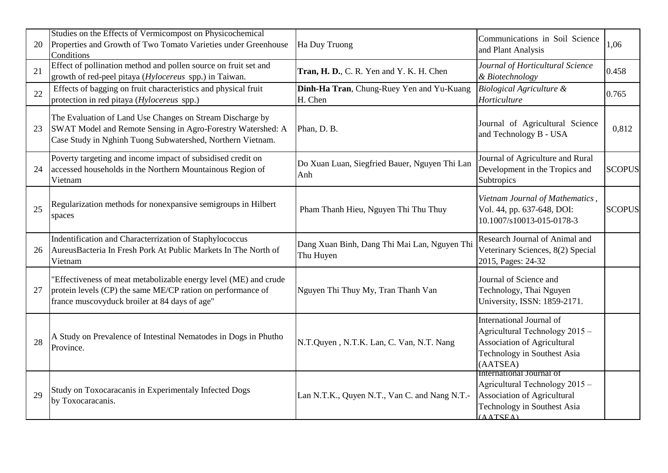| 20 | Studies on the Effects of Vermicompost on Physicochemical<br>Properties and Growth of Two Tomato Varieties under Greenhouse<br>Conditions                                              | Ha Duy Truong                                             | Communications in Soil Science<br>and Plant Analysis                                                                                 | 1,06          |
|----|----------------------------------------------------------------------------------------------------------------------------------------------------------------------------------------|-----------------------------------------------------------|--------------------------------------------------------------------------------------------------------------------------------------|---------------|
| 21 | Effect of pollination method and pollen source on fruit set and<br>growth of red-peel pitaya (Hylocereus spp.) in Taiwan.                                                              | Tran, H. D., C. R. Yen and Y. K. H. Chen                  | Journal of Horticultural Science<br>& Biotechnology                                                                                  | 0.458         |
| 22 | Effects of bagging on fruit characteristics and physical fruit<br>protection in red pitaya (Hylocereus spp.)                                                                           | Dinh-Ha Tran, Chung-Ruey Yen and Yu-Kuang<br>H. Chen      | <b>Biological Agriculture &amp;</b><br>Horticulture                                                                                  | 0.765         |
| 23 | The Evaluation of Land Use Changes on Stream Discharge by<br>SWAT Model and Remote Sensing in Agro-Forestry Watershed: A<br>Case Study in Nghinh Tuong Subwatershed, Northern Vietnam. | Phan, D. B.                                               | Journal of Agricultural Science<br>and Technology B - USA                                                                            | 0,812         |
|    | Poverty targeting and income impact of subsidised credit on<br>accessed households in the Northern Mountainous Region of<br>Vietnam                                                    | Do Xuan Luan, Siegfried Bauer, Nguyen Thi Lan<br>Anh      | Journal of Agriculture and Rural<br>Development in the Tropics and<br>Subtropics                                                     | <b>SCOPUS</b> |
| 25 | Regularization methods for nonexpansive semigroups in Hilbert<br>spaces                                                                                                                | Pham Thanh Hieu, Nguyen Thi Thu Thuy                      | Vietnam Journal of Mathematics,<br>Vol. 44, pp. 637-648, DOI:<br>10.1007/s10013-015-0178-3                                           | <b>SCOPUS</b> |
| 26 | Indentification and Characterrization of Staphylococcus<br>AureusBacteria In Fresh Pork At Public Markets In The North of<br>Vietnam                                                   | Dang Xuan Binh, Dang Thi Mai Lan, Nguyen Thi<br>Thu Huyen | Research Journal of Animal and<br>Veterinary Sciences, 8(2) Special<br>2015, Pages: 24-32                                            |               |
| 27 | "Effectiveness of meat metabolizable energy level (ME) and crude<br>protein levels (CP) the same ME/CP ration on performance of<br>france muscovyduck broiler at 84 days of age"       | Nguyen Thi Thuy My, Tran Thanh Van                        | Journal of Science and<br>Technology, Thai Nguyen<br>University, ISSN: 1859-2171.                                                    |               |
| 28 | A Study on Prevalence of Intestinal Nematodes in Dogs in Phutho<br>Province.                                                                                                           | N.T.Quyen, N.T.K. Lan, C. Van, N.T. Nang                  | International Journal of<br>Agricultural Technology 2015 -<br>Association of Agricultural<br>Technology in Southest Asia<br>(AATSEA) |               |
| 29 | Study on Toxocaracanis in Experimentaly Infected Dogs<br>by Toxocaracanis.                                                                                                             | Lan N.T.K., Quyen N.T., Van C. and Nang N.T.-             | International Journal of<br>Agricultural Technology 2015 -<br>Association of Agricultural<br>Technology in Southest Asia<br>(AATSEA) |               |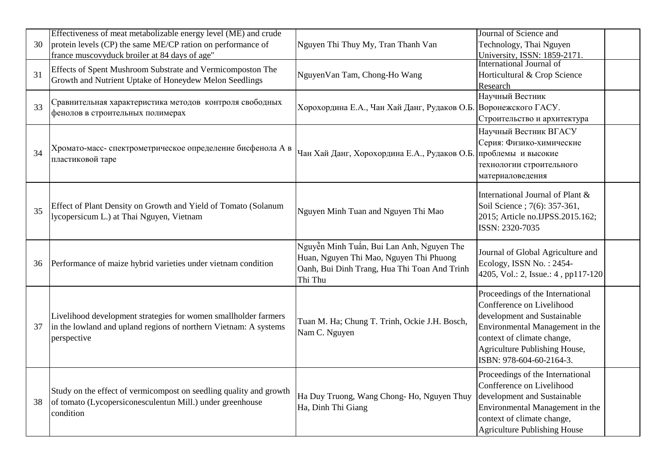|    | Effectiveness of meat metabolizable energy level (ME) and crude                                                                                    |                                                                                      | Journal of Science and                                          |  |
|----|----------------------------------------------------------------------------------------------------------------------------------------------------|--------------------------------------------------------------------------------------|-----------------------------------------------------------------|--|
| 30 | protein levels (CP) the same ME/CP ration on performance of                                                                                        | Nguyen Thi Thuy My, Tran Thanh Van                                                   | Technology, Thai Nguyen                                         |  |
|    | france muscovyduck broiler at 84 days of age"                                                                                                      |                                                                                      | University, ISSN: 1859-2171<br>International Journal of         |  |
|    | Effects of Spent Mushroom Substrate and Vermicomposton The                                                                                         |                                                                                      |                                                                 |  |
| 31 | Growth and Nutrient Uptake of Honeydew Melon Seedlings                                                                                             | NguyenVan Tam, Chong-Ho Wang                                                         | Horticultural & Crop Science                                    |  |
|    |                                                                                                                                                    |                                                                                      | Research<br>Научный Вестник                                     |  |
| 33 | Сравнительная характеристика методов контроля свободных<br>фенолов в строительных полимерах                                                        | Хорохордина Е.А., Чан Хай Данг, Рудаков О.Б. Воронежского ГАСУ.                      |                                                                 |  |
|    |                                                                                                                                                    |                                                                                      | Строительство и архитектура                                     |  |
|    |                                                                                                                                                    |                                                                                      | Научный Вестник ВГАСУ                                           |  |
| 34 |                                                                                                                                                    | Чан Хай Данг, Хорохордина Е.А., Рудаков О.Б. проблемы и высокие                      | Серия: Физико-химические                                        |  |
|    | Хромато-масс- спектрометрическое определение бисфенола А в                                                                                         |                                                                                      |                                                                 |  |
|    | пластиковой таре                                                                                                                                   |                                                                                      | технологии строительного                                        |  |
|    |                                                                                                                                                    |                                                                                      | материаловедения                                                |  |
|    |                                                                                                                                                    |                                                                                      |                                                                 |  |
|    |                                                                                                                                                    |                                                                                      | International Journal of Plant &                                |  |
| 35 | Effect of Plant Density on Growth and Yield of Tomato (Solanum                                                                                     | Nguyen Minh Tuan and Nguyen Thi Mao                                                  | Soil Science ; 7(6): 357-361,                                   |  |
|    | lycopersicum L.) at Thai Nguyen, Vietnam                                                                                                           |                                                                                      | 2015; Article no.IJPSS.2015.162;                                |  |
|    |                                                                                                                                                    |                                                                                      | ISSN: 2320-7035                                                 |  |
|    |                                                                                                                                                    | Nguyễn Minh Tuấn, Bui Lan Anh, Nguyen The<br>Huan, Nguyen Thi Mao, Nguyen Thi Phuong |                                                                 |  |
|    |                                                                                                                                                    |                                                                                      | Journal of Global Agriculture and                               |  |
| 36 | Performance of maize hybrid varieties under vietnam condition                                                                                      | Oanh, Bui Dinh Trang, Hua Thi Toan And Trinh                                         | Ecology, ISSN No.: 2454-<br>4205, Vol.: 2, Issue.: 4, pp117-120 |  |
|    |                                                                                                                                                    | Thi Thu                                                                              |                                                                 |  |
|    |                                                                                                                                                    |                                                                                      | Proceedings of the International                                |  |
|    |                                                                                                                                                    | Tuan M. Ha; Chung T. Trinh, Ockie J.H. Bosch,<br>Nam C. Nguyen                       | Confference on Livelihood                                       |  |
|    | Livelihood development strategies for women smallholder farmers<br>in the lowland and upland regions of northern Vietnam: A systems<br>perspective |                                                                                      | development and Sustainable                                     |  |
| 37 |                                                                                                                                                    |                                                                                      | Environmental Management in the                                 |  |
|    |                                                                                                                                                    |                                                                                      | context of climate change,                                      |  |
|    |                                                                                                                                                    |                                                                                      | Agriculture Publishing House,                                   |  |
|    |                                                                                                                                                    |                                                                                      | ISBN: 978-604-60-2164-3.                                        |  |
| 38 | Study on the effect of vermicompost on seedling quality and growth<br>of tomato (Lycopersiconesculentun Mill.) under greenhouse<br>condition       | Ha Duy Truong, Wang Chong-Ho, Nguyen Thuy<br>Ha, Dinh Thi Giang                      | Proceedings of the International                                |  |
|    |                                                                                                                                                    |                                                                                      | Confference on Livelihood                                       |  |
|    |                                                                                                                                                    |                                                                                      | development and Sustainable                                     |  |
|    |                                                                                                                                                    |                                                                                      | Environmental Management in the                                 |  |
|    |                                                                                                                                                    |                                                                                      | context of climate change,                                      |  |
|    |                                                                                                                                                    |                                                                                      | <b>Agriculture Publishing House</b>                             |  |